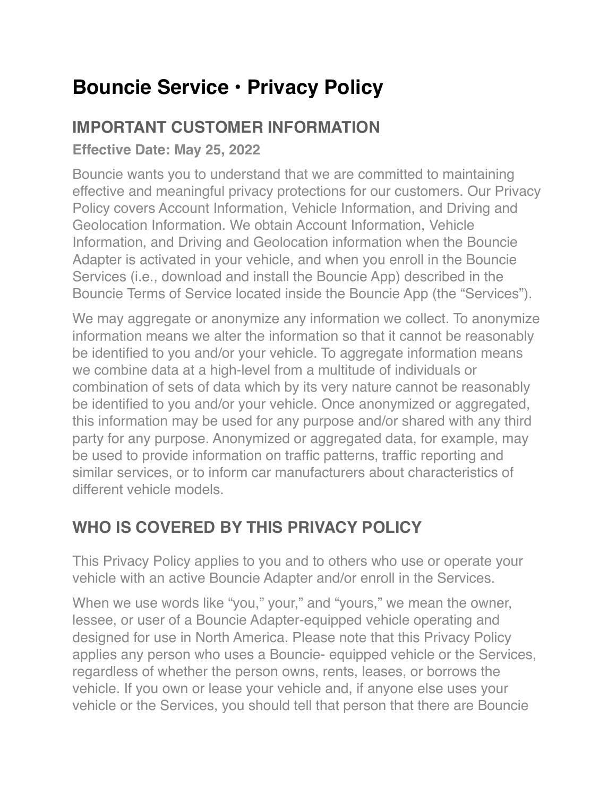# **Bouncie Service • Privacy Policy**

### **IMPORTANT CUSTOMER INFORMATION**

**Effective Date: May 25, 2022**

Bouncie wants you to understand that we are committed to maintaining effective and meaningful privacy protections for our customers. Our Privacy Policy covers Account Information, Vehicle Information, and Driving and Geolocation Information. We obtain Account Information, Vehicle Information, and Driving and Geolocation information when the Bouncie Adapter is activated in your vehicle, and when you enroll in the Bouncie Services (i.e., download and install the Bouncie App) described in the Bouncie Terms of Service located inside the Bouncie App (the "Services").

We may aggregate or anonymize any information we collect. To anonymize information means we alter the information so that it cannot be reasonably be identified to you and/or your vehicle. To aggregate information means we combine data at a high-level from a multitude of individuals or combination of sets of data which by its very nature cannot be reasonably be identified to you and/or your vehicle. Once anonymized or aggregated, this information may be used for any purpose and/or shared with any third party for any purpose. Anonymized or aggregated data, for example, may be used to provide information on traffic patterns, traffic reporting and similar services, or to inform car manufacturers about characteristics of different vehicle models.

## **WHO IS COVERED BY THIS PRIVACY POLICY**

This Privacy Policy applies to you and to others who use or operate your vehicle with an active Bouncie Adapter and/or enroll in the Services.

When we use words like "you," your," and "yours," we mean the owner, lessee, or user of a Bouncie Adapter-equipped vehicle operating and designed for use in North America. Please note that this Privacy Policy applies any person who uses a Bouncie- equipped vehicle or the Services, regardless of whether the person owns, rents, leases, or borrows the vehicle. If you own or lease your vehicle and, if anyone else uses your vehicle or the Services, you should tell that person that there are Bouncie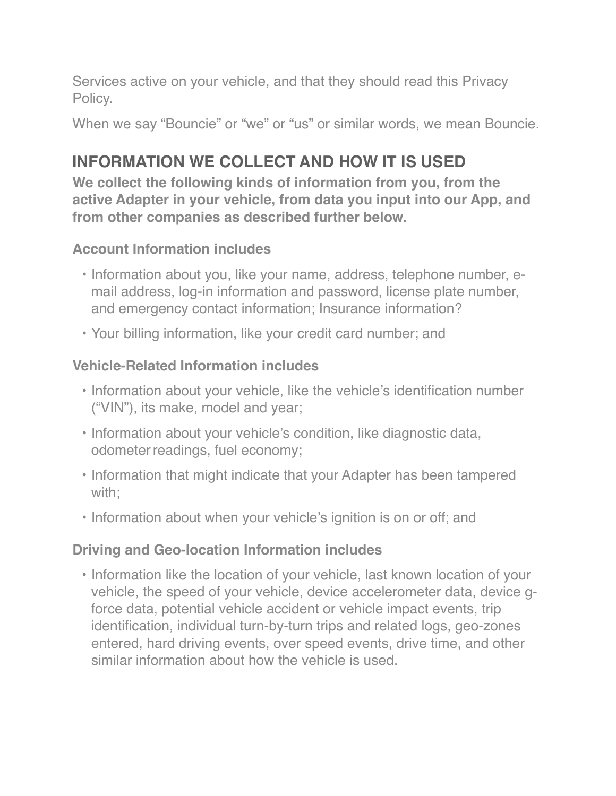Services active on your vehicle, and that they should read this Privacy Policy.

When we say "Bouncie" or "we" or "us" or similar words, we mean Bouncie.

### **INFORMATION WE COLLECT AND HOW IT IS USED**

**We collect the following kinds of information from you, from the active Adapter in your vehicle, from data you input into our App, and from other companies as described further below.**

#### **Account Information includes**

- Information about you, like your name, address, telephone number, email address, log-in information and password, license plate number, and emergency contact information; Insurance information?
- Your billing information, like your credit card number; and

#### **Vehicle-Related Information includes**

- Information about your vehicle, like the vehicle's identification number ("VIN"), its make, model and year;
- Information about your vehicle's condition, like diagnostic data, odometer readings, fuel economy;
- Information that might indicate that your Adapter has been tampered with;
- Information about when your vehicle's ignition is on or off; and

#### **Driving and Geo-location Information includes**

• Information like the location of your vehicle, last known location of your vehicle, the speed of your vehicle, device accelerometer data, device gforce data, potential vehicle accident or vehicle impact events, trip identification, individual turn-by-turn trips and related logs, geo-zones entered, hard driving events, over speed events, drive time, and other similar information about how the vehicle is used.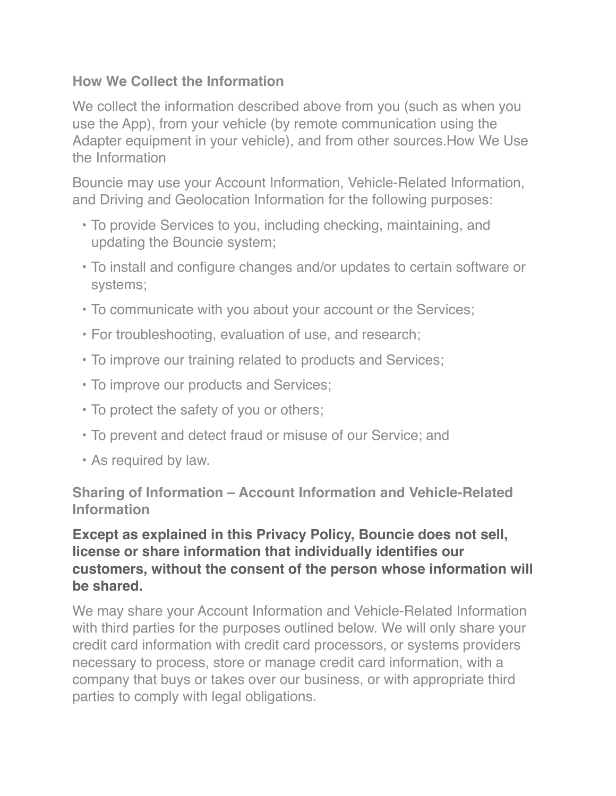#### **How We Collect the Information**

We collect the information described above from you (such as when you use the App), from your vehicle (by remote communication using the Adapter equipment in your vehicle), and from other sources.How We Use the Information

Bouncie may use your Account Information, Vehicle-Related Information, and Driving and Geolocation Information for the following purposes:

- To provide Services to you, including checking, maintaining, and updating the Bouncie system;
- To install and configure changes and/or updates to certain software or systems;
- To communicate with you about your account or the Services;
- For troubleshooting, evaluation of use, and research;
- To improve our training related to products and Services;
- To improve our products and Services;
- To protect the safety of you or others;
- To prevent and detect fraud or misuse of our Service; and
- As required by law.

**Sharing of Information – Account Information and Vehicle-Related Information**

#### **Except as explained in this Privacy Policy, Bouncie does not sell, license or share information that individually identifies our customers, without the consent of the person whose information will be shared.**

We may share your Account Information and Vehicle-Related Information with third parties for the purposes outlined below. We will only share your credit card information with credit card processors, or systems providers necessary to process, store or manage credit card information, with a company that buys or takes over our business, or with appropriate third parties to comply with legal obligations.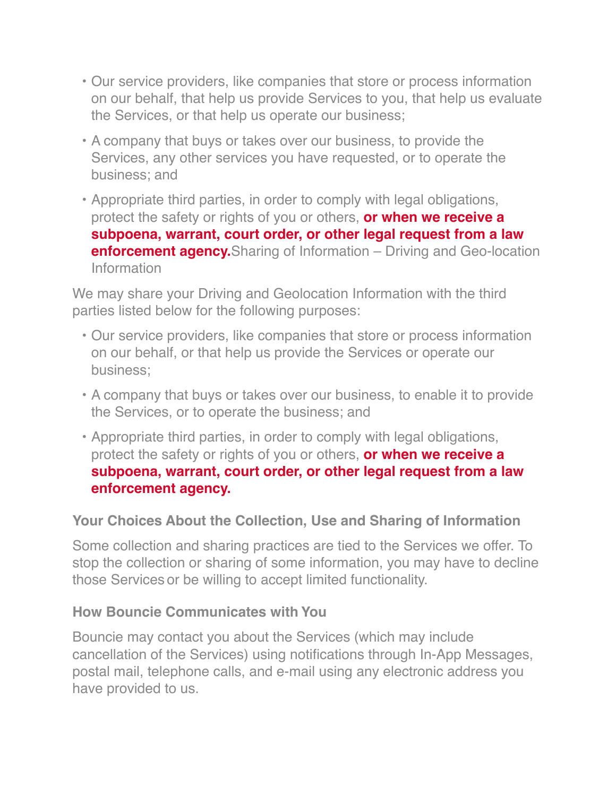- Our service providers, like companies that store or process information on our behalf, that help us provide Services to you, that help us evaluate the Services, or that help us operate our business;
- A company that buys or takes over our business, to provide the Services, any other services you have requested, or to operate the business; and
- Appropriate third parties, in order to comply with legal obligations, protect the safety or rights of you or others, **or when we receive a subpoena, warrant, court order, or other legal request from a law enforcement agency.** Sharing of Information – Driving and Geo-location Information

We may share your Driving and Geolocation Information with the third parties listed below for the following purposes:

- Our service providers, like companies that store or process information on our behalf, or that help us provide the Services or operate our business;
- A company that buys or takes over our business, to enable it to provide the Services, or to operate the business; and
- Appropriate third parties, in order to comply with legal obligations, protect the safety or rights of you or others, **or when we receive a subpoena, warrant, court order, or other legal request from a law enforcement agency.**

#### **Your Choices About the Collection, Use and Sharing of Information**

Some collection and sharing practices are tied to the Services we offer. To stop the collection or sharing of some information, you may have to decline those Services or be willing to accept limited functionality.

#### **How Bouncie Communicates with You**

Bouncie may contact you about the Services (which may include cancellation of the Services) using notifications through In-App Messages, postal mail, telephone calls, and e-mail using any electronic address you have provided to us.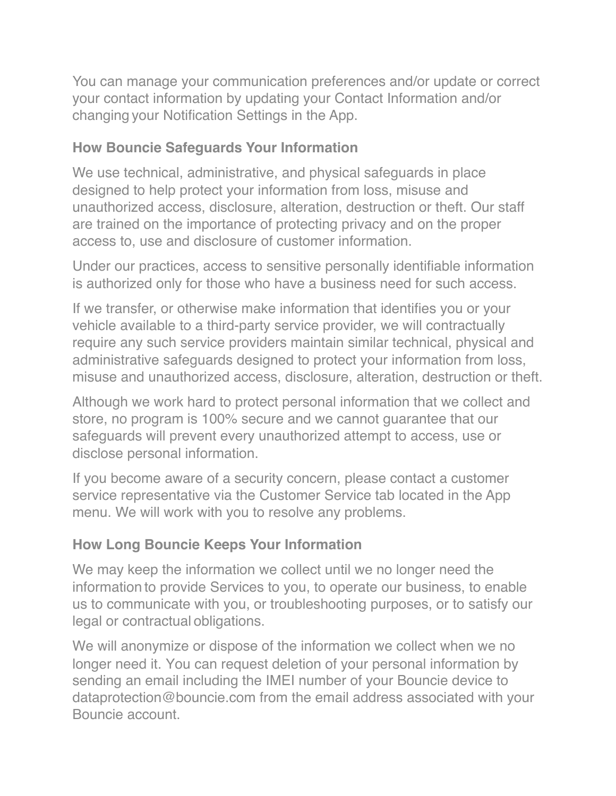You can manage your communication preferences and/or update or correct your contact information by updating your Contact Information and/or changing your Notification Settings in the App.

#### **How Bouncie Safeguards Your Information**

We use technical, administrative, and physical safeguards in place designed to help protect your information from loss, misuse and unauthorized access, disclosure, alteration, destruction or theft. Our staff are trained on the importance of protecting privacy and on the proper access to, use and disclosure of customer information.

Under our practices, access to sensitive personally identifiable information is authorized only for those who have a business need for such access.

If we transfer, or otherwise make information that identifies you or your vehicle available to a third-party service provider, we will contractually require any such service providers maintain similar technical, physical and administrative safeguards designed to protect your information from loss, misuse and unauthorized access, disclosure, alteration, destruction or theft.

Although we work hard to protect personal information that we collect and store, no program is 100% secure and we cannot guarantee that our safeguards will prevent every unauthorized attempt to access, use or disclose personal information.

If you become aware of a security concern, please contact a customer service representative via the Customer Service tab located in the App menu. We will work with you to resolve any problems.

#### **How Long Bouncie Keeps Your Information**

We may keep the information we collect until we no longer need the information to provide Services to you, to operate our business, to enable us to communicate with you, or troubleshooting purposes, or to satisfy our legal or contractual obligations.

We will anonymize or dispose of the information we collect when we no longer need it. You can request deletion of your personal information by sending an email including the IMEI number of your Bouncie device to dataprotection@bouncie.com from the email address associated with your Bouncie account.